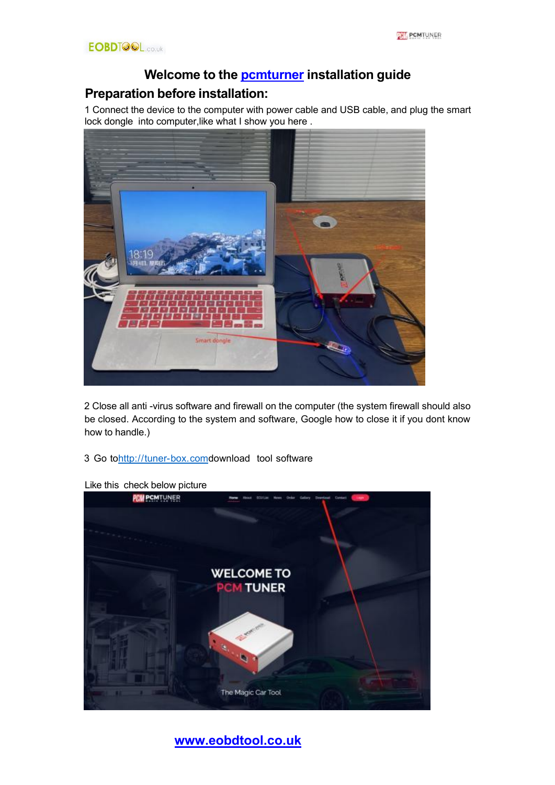# **Welcome to the [pcmturner](https://www.eobdtool.co.uk/wholesale/pcmtuner-ecu-programmer.html) installation guide**

# **Preparation before installation:**

1 Connect the device to the computer with power cable and USB cable, and plug the smart lock dongle into computer, like what I show you here.



2 Close all anti -virus software and firewall on the computer (the system firewall should also be closed. According to the system and software, Google how to close it if you dont know how to handle.)

3 Go to[http://tuner-box.comd](http://tuner-box.com/)ownload tool software



#### Like this check below picture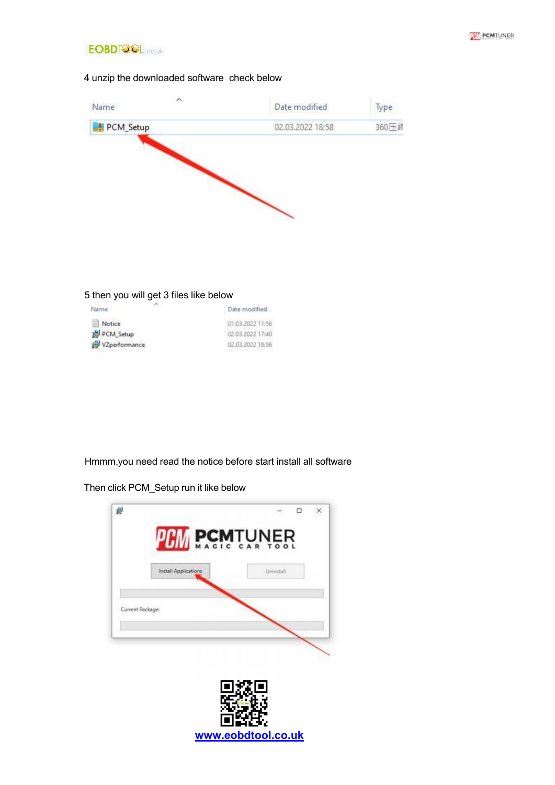



## 4 unzip the downloaded software check below



#### 5 then you will get 3 files like below

| 1999<br>Name  | Date modified    |
|---------------|------------------|
| Notice        | 01.03.2022 11:56 |
| PCM Setup     | 02:03.2022 17:40 |
| VZperformance | 02.03.2022 18:56 |

Hmmm,you need read the notice before start install all software

Then click PCM\_Setup run it like below

|                 | <b>PCM PCM</b> TUNER |            |  |
|-----------------|----------------------|------------|--|
|                 | Install Applications | Univertall |  |
| Current Package |                      |            |  |
|                 |                      |            |  |
|                 |                      |            |  |
|                 |                      |            |  |
|                 |                      |            |  |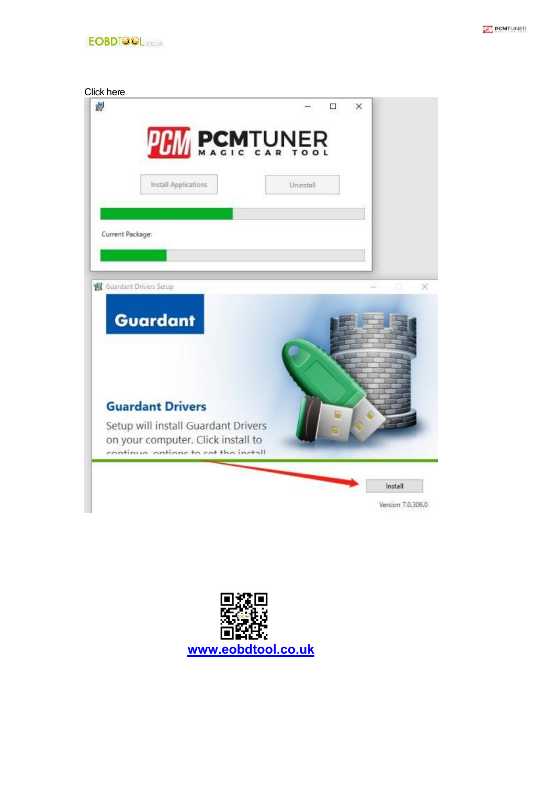



#### Click here



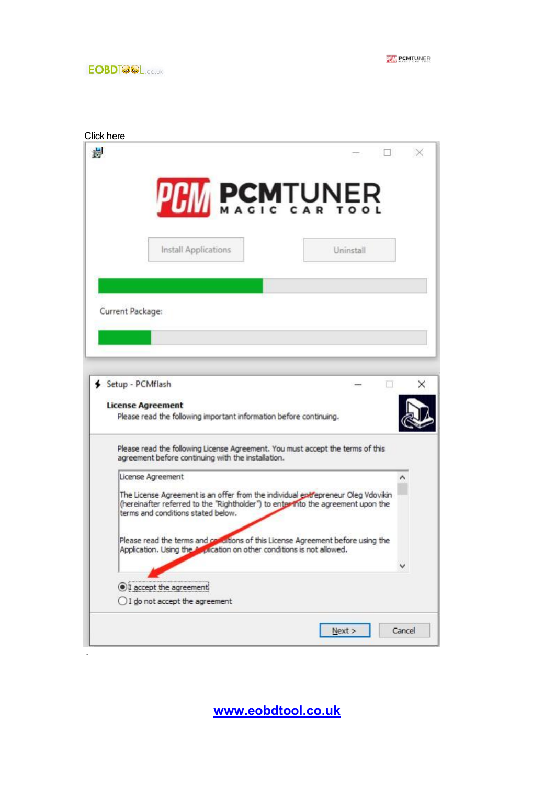**THE PCMTUNER** 

|                                                                                                                                                                                                            | <b>PHI PCMTUNER</b> |
|------------------------------------------------------------------------------------------------------------------------------------------------------------------------------------------------------------|---------------------|
| Install Applications                                                                                                                                                                                       | Uninstall           |
|                                                                                                                                                                                                            |                     |
| Current Package:                                                                                                                                                                                           |                     |
|                                                                                                                                                                                                            |                     |
|                                                                                                                                                                                                            |                     |
| Setup - PCMflash                                                                                                                                                                                           |                     |
| <b>License Agreement</b><br>Please read the following important information before continuing.                                                                                                             |                     |
| Please read the following License Agreement. You must accept the terms of this<br>agreement before continuing with the installation.                                                                       |                     |
| License Agreement                                                                                                                                                                                          |                     |
| The License Agreement is an offer from the individual entrepreneur Oleg Vdovikin<br>(hereinafter referred to the "Rightholder") to enter into the agreement upon the<br>terms and conditions stated below. |                     |
|                                                                                                                                                                                                            |                     |
| Please read the terms and comultions of this License Agreement before using the<br>Application. Using the Application on other conditions is not allowed.                                                  |                     |
|                                                                                                                                                                                                            |                     |
| I accept the agreement                                                                                                                                                                                     |                     |
| ◯ I do not accept the agreement                                                                                                                                                                            |                     |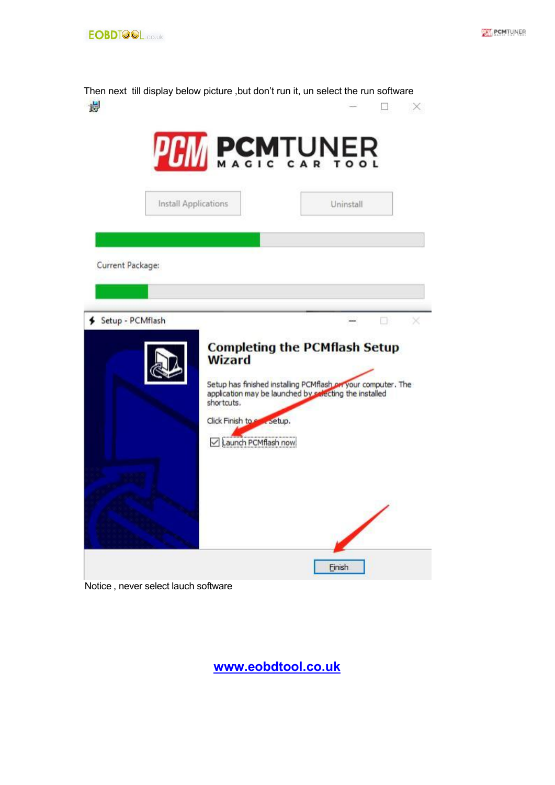

Then next till display below picture , but don't run it, un select the run software 制  $\overline{\phantom{a}}$ ×



Notice , never select lauch software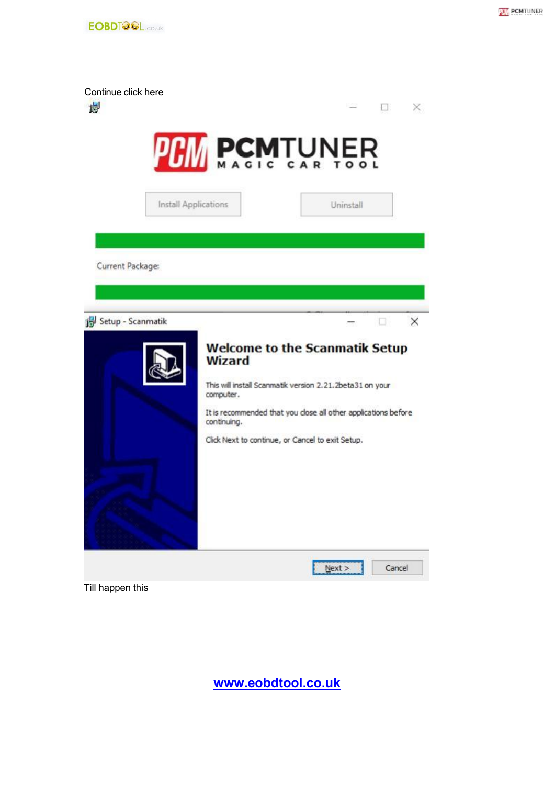

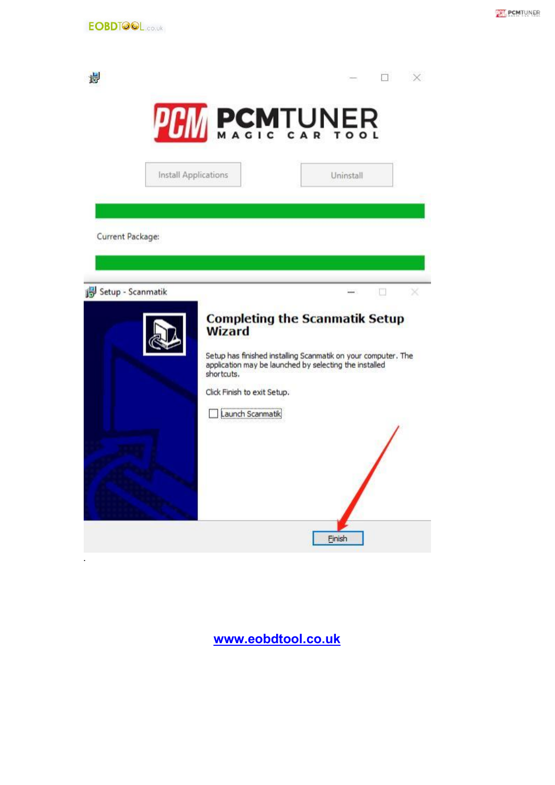.



| 请                 |                             |                                                                                                                         |  |
|-------------------|-----------------------------|-------------------------------------------------------------------------------------------------------------------------|--|
|                   | <b>PCM PCM</b> TUNER        |                                                                                                                         |  |
|                   | Install Applications        | Uninstall                                                                                                               |  |
|                   |                             |                                                                                                                         |  |
| Current Package:  |                             |                                                                                                                         |  |
|                   |                             |                                                                                                                         |  |
| Setup - Scanmatik |                             |                                                                                                                         |  |
|                   | <b>Wizard</b>               | <b>Completing the Scanmatik Setup</b>                                                                                   |  |
|                   | shortcuts.                  | Setup has finished installing Scanmatik on your computer. The<br>application may be launched by selecting the installed |  |
|                   | Click Finish to exit Setup. |                                                                                                                         |  |
|                   | Launch Scanmatik            |                                                                                                                         |  |
|                   |                             |                                                                                                                         |  |
|                   |                             |                                                                                                                         |  |
|                   |                             |                                                                                                                         |  |
|                   |                             | <b>Finish</b>                                                                                                           |  |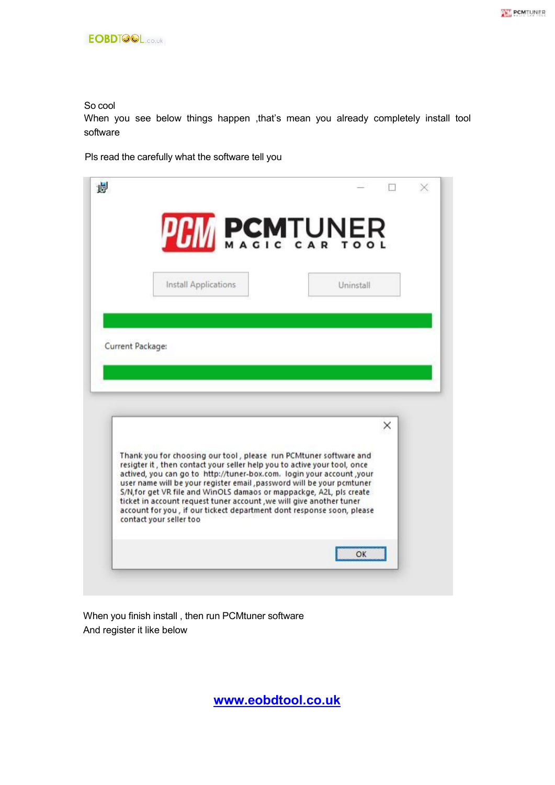#### So cool

When you see below things happen ,that's mean you already completely install tool software

Pls read the carefully what the software tell you



When you finish install , then run PCMtuner software And register it like below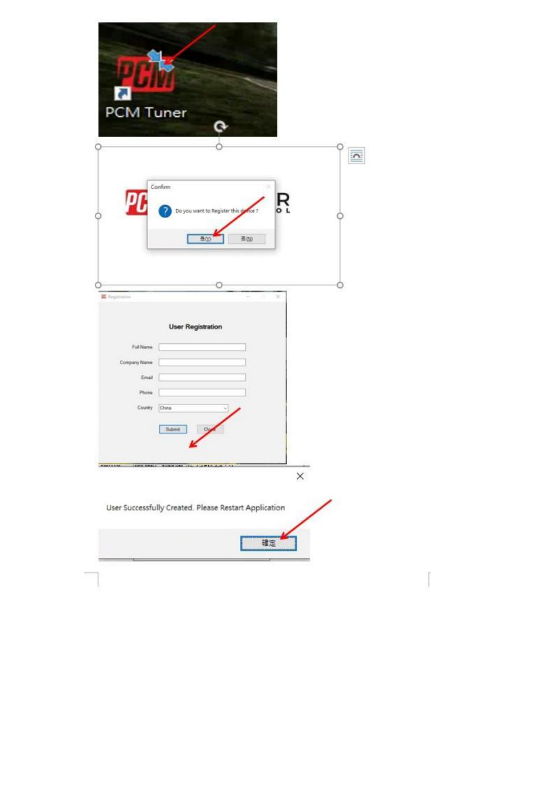|                    | PCM Tuner                                 |                                          |   |                         |
|--------------------|-------------------------------------------|------------------------------------------|---|-------------------------|
|                    | Confirm                                   | ×<br>Do you want to Register this gove ? | Ŗ | $\overline{\mathbf{C}}$ |
| <b>E</b> feptuates | 豊の                                        | 查(N)<br>×                                |   |                         |
|                    | <b>User Registration</b><br>Full Name     |                                          |   |                         |
| Company Name       | Email<br>Phone                            |                                          |   |                         |
|                    | Country<br>China<br>Sabmit<br>Cig         |                                          |   |                         |
|                    | AMERICA - INCOME CARD AND THE CARD CA 151 |                                          | X |                         |

Ť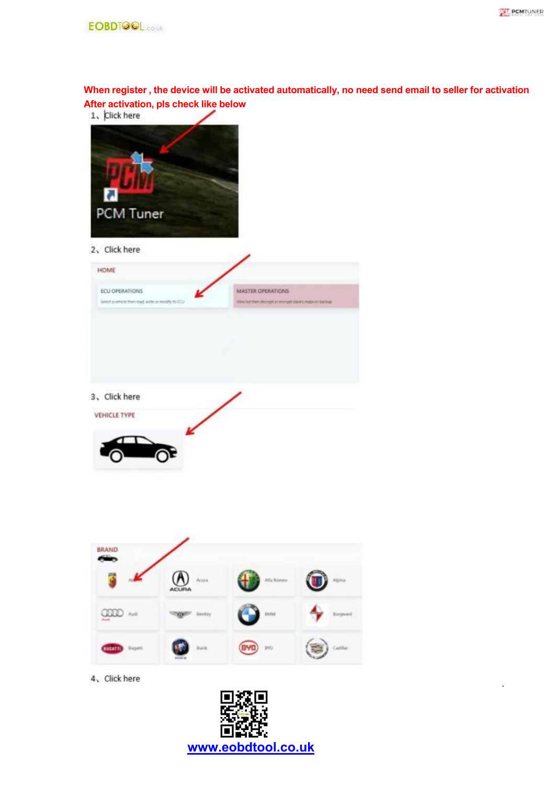.



**When register , the device will be activated automatically, no need send email to seller for activation After activation, pls check like below**

| Æ<br><b>M</b><br>PCM Tuner                                                                                   |                                                                                      |
|--------------------------------------------------------------------------------------------------------------|--------------------------------------------------------------------------------------|
| 2, Click here<br><b>HOME</b><br><b>ECU OPERATIONS</b><br>Select a vehicle than read, write or modify fo (CO) | <b>MASTER OPERATIONS</b><br>View let then decreat or encrypt stake's maps or tasckup |
| 3、 Click here<br><b>VEHICLE TYPE</b>                                                                         |                                                                                      |
|                                                                                                              |                                                                                      |



4、Click here

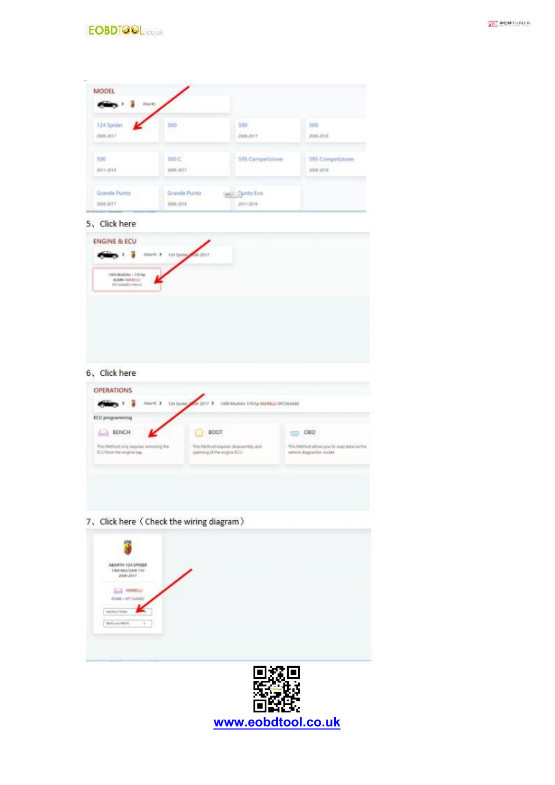

| 124 Spider | 500       | 500              | 500              |
|------------|-----------|------------------|------------------|
| 2008-2017  |           | 2006-2017        | 2006-2018        |
| 500        | 500 C     | 595 Competizione | 595 Competizione |
| 2011-2018  | 2008-2217 |                  | 2006-2018        |

#### 5、Click here

#### 6, Click here

| <b>BENCH</b><br>扁                      | <b>BOOT</b>                            | $\Rightarrow$ OBD                          |
|----------------------------------------|----------------------------------------|--------------------------------------------|
| This Method only requires removing the | Tres filethod requires disassembly and | This Method allows you to med data via the |
| ECU from the engine bay.               | opening of the engine ECU.             | vehicle diagosmoc sodiet:                  |
|                                        |                                        |                                            |

## 7、Click here (Check the wiring diagram)

| ű<br>œ |   |
|--------|---|
|        | c |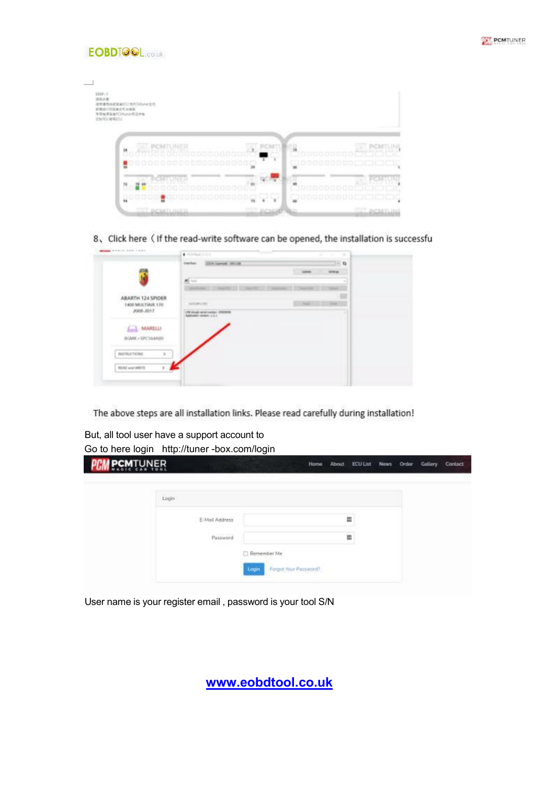



| $1129 - 1$<br>出版日期<br>建导通用器建设面ICI/ RPCNIturer主机<br>前提出バス圧迫されら相互<br>を見極度をみくいtunelが正示板 | man                                               |                                                                          |                                                    |
|--------------------------------------------------------------------------------------|---------------------------------------------------|--------------------------------------------------------------------------|----------------------------------------------------|
| LOSENTING                                                                            | <b>EX POMTUMER</b><br><u>inisha Mahnoonoonoo </u> | ä                                                                        | maannanna                                          |
| 쁿                                                                                    | PCMTUNER<br><b>Annononnon</b>                     | ¥<br>wasa<br>ooooog,<br>$\rightarrow$                                    |                                                    |
|                                                                                      | <b>M</b> nopool<br><b>COLORINALE</b>              | <b>Bondone</b><br>$\mathbf{Y}$ .<br><b>CHOPE</b><br><b>DICSIGRITANIC</b> | <b>TERRITOR</b><br>uccanado<br>ä<br><b>EGMILIA</b> |

8、Click here (If the read-write software can be opened, the installation is successfu

|                                      | tracker. 2008 harms (\$61.00                                     |                            | $-6$           |  |
|--------------------------------------|------------------------------------------------------------------|----------------------------|----------------|--|
|                                      |                                                                  | <b><i><u>anked</u></i></b> | <b>Gallery</b> |  |
|                                      | 些<br><b>Text</b>                                                 |                            |                |  |
|                                      | <b>SAN AVE IT INVESTS</b><br><b>Charles Card</b><br><b>SALES</b> | 1. S. T. Mount-Street      |                |  |
| ABARTH 124 SPIDER                    |                                                                  |                            |                |  |
| 1400 MULTIAIR 170<br>2008-2017       | Southern cred                                                    | Total Control Control      |                |  |
| 030222223                            | (4 direct new custom, INCRES)<br>Additionalist contacts: U.S.I.  |                            |                |  |
| MARELLI<br><b>Sunk</b>               |                                                                  |                            |                |  |
| BOMK + SPCS64ARD                     |                                                                  |                            |                |  |
| General Property and Constitution of |                                                                  |                            |                |  |
| <b>ASTRUCTONS</b>                    |                                                                  |                            |                |  |
|                                      |                                                                  |                            |                |  |
| EEAD and WRITE<br>×                  |                                                                  |                            |                |  |

The above steps are all installation links. Please read carefully during installation!

But, all tool user have a support account to Go to here login http://tuner -box.com/login

| <b>N DCW</b> LNWEB |                |                                 | Home About ECULIst News Order Gallery Contact |   |  |  |
|--------------------|----------------|---------------------------------|-----------------------------------------------|---|--|--|
|                    | Login          |                                 |                                               |   |  |  |
|                    | E-Mail Address |                                 |                                               | 冨 |  |  |
|                    | Password       |                                 |                                               | 篇 |  |  |
|                    |                | Remember Me                     |                                               |   |  |  |
|                    |                | Forgot Your Password?<br>Login. |                                               |   |  |  |

User name is your register email , password is your tool S/N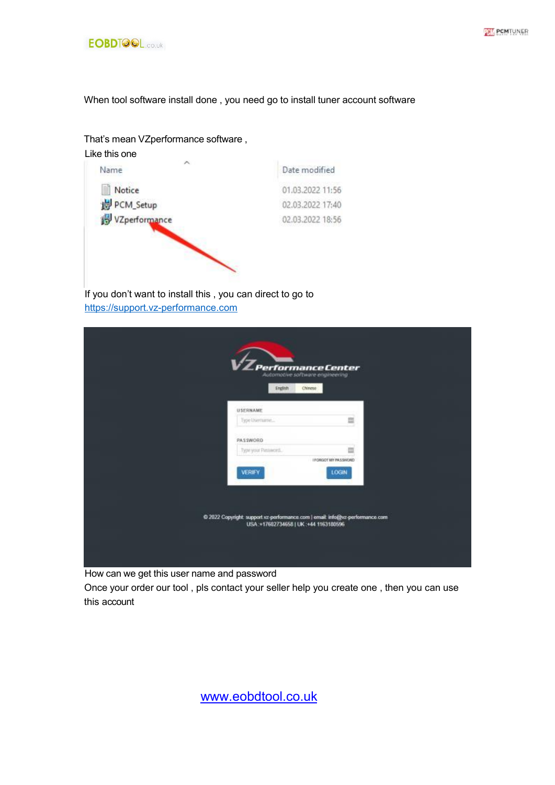



When tool software install done , you need go to install tuner account software

### That's mean VZperformance software ,



If you don't want to install this , you can direct to go to [https://support.vz-performance.com](https://support.vz-performance.com/)

| Performance Center<br>Automotive software engineering<br>Chinese<br>English                                           |                           |  |
|-----------------------------------------------------------------------------------------------------------------------|---------------------------|--|
| USERNAME                                                                                                              |                           |  |
| Type Usemame<br>PASSWORD                                                                                              | 皿                         |  |
| Type your Plessword.                                                                                                  | ш<br>I FORGOT MY PASSWORD |  |
| <b>VERIFY</b>                                                                                                         | <b>LOGIN</b>              |  |
|                                                                                                                       |                           |  |
| @ 2022 Copyright: support vz-performance.com   email: info@vz-performance.com<br>USA:+17602734658   UK:+44 1163180596 |                           |  |
|                                                                                                                       |                           |  |

How can we get this user name and password

Once your order our tool , pls contact your seller help you create one , then you can use this account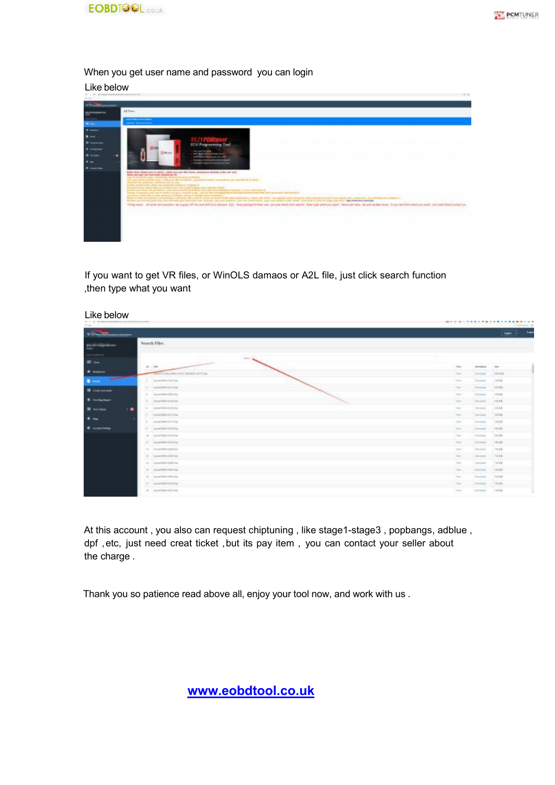

#### When you get user name and password you can login

Like below

| <b>ANGELIA</b><br>AB Netire<br>___<br>______<br>$\blacksquare$<br>4.0001<br>$\bullet$ and<br><b>ECU Programming Tool</b><br><b>Cash Law E and Africa</b><br><b>Zoocast</b><br>arty description at sources of<br><b>B</b> with<br><b>ANTIQUALITY CONTROL</b><br>four party of the special deviced chargest<br>$\bullet$<br>world's copy for helight for low.<br>$\bullet$ ----<br>bathy dear, these you by worth , what you are flint overy, because attemp triber out book<br>taking good start had but from a tape and the<br>high the beholdered scalary is depended at the relation and relations."<br>All your restau business charge and compared that a residence compared at the se-<br>and are sented of at least.<br>Abband car promoter service is low to line<br>Buffor recent other after the achieved suffered applier in<br>we consider paid course hold your problem and hold, annual hoggins your structure awards.<br>material processes are contained and sense of personal fact and most direct to technical process have a sense of the most sense in<br>Primary in the contrast of the contact of the contrast program of the contact of the contac<br>are survey trans (44 J) and against a fielding arts per re-gamps men dannual (i. )<br>With 11 No end planet concentration information council could be insert to the Man services in them in them a service and only a support medicines and of mondatories and it pro looks was a previously in model between the a<br>Bished you or him your book you can also you concern you consume you can wanting you can court hided, you want called a your coupl want to your coupling you can be proposed in a pre-<br>10 highway all how and avevars we signify VR his and WHS(S manuel A2), map pasiga for that and you can project heart that beauty that have been dealed by a while and them our will speak more. If you mant their states are a | 16.64 |  |
|------------------------------------------------------------------------------------------------------------------------------------------------------------------------------------------------------------------------------------------------------------------------------------------------------------------------------------------------------------------------------------------------------------------------------------------------------------------------------------------------------------------------------------------------------------------------------------------------------------------------------------------------------------------------------------------------------------------------------------------------------------------------------------------------------------------------------------------------------------------------------------------------------------------------------------------------------------------------------------------------------------------------------------------------------------------------------------------------------------------------------------------------------------------------------------------------------------------------------------------------------------------------------------------------------------------------------------------------------------------------------------------------------------------------------------------------------------------------------------------------------------------------------------------------------------------------------------------------------------------------------------------------------------------------------------------------------------------------------------------------------------------------------------------------------------------------------------------------------------------------------------------------------------------------------|-------|--|
|                                                                                                                                                                                                                                                                                                                                                                                                                                                                                                                                                                                                                                                                                                                                                                                                                                                                                                                                                                                                                                                                                                                                                                                                                                                                                                                                                                                                                                                                                                                                                                                                                                                                                                                                                                                                                                                                                                                              |       |  |
|                                                                                                                                                                                                                                                                                                                                                                                                                                                                                                                                                                                                                                                                                                                                                                                                                                                                                                                                                                                                                                                                                                                                                                                                                                                                                                                                                                                                                                                                                                                                                                                                                                                                                                                                                                                                                                                                                                                              |       |  |
|                                                                                                                                                                                                                                                                                                                                                                                                                                                                                                                                                                                                                                                                                                                                                                                                                                                                                                                                                                                                                                                                                                                                                                                                                                                                                                                                                                                                                                                                                                                                                                                                                                                                                                                                                                                                                                                                                                                              |       |  |
|                                                                                                                                                                                                                                                                                                                                                                                                                                                                                                                                                                                                                                                                                                                                                                                                                                                                                                                                                                                                                                                                                                                                                                                                                                                                                                                                                                                                                                                                                                                                                                                                                                                                                                                                                                                                                                                                                                                              |       |  |
|                                                                                                                                                                                                                                                                                                                                                                                                                                                                                                                                                                                                                                                                                                                                                                                                                                                                                                                                                                                                                                                                                                                                                                                                                                                                                                                                                                                                                                                                                                                                                                                                                                                                                                                                                                                                                                                                                                                              |       |  |
|                                                                                                                                                                                                                                                                                                                                                                                                                                                                                                                                                                                                                                                                                                                                                                                                                                                                                                                                                                                                                                                                                                                                                                                                                                                                                                                                                                                                                                                                                                                                                                                                                                                                                                                                                                                                                                                                                                                              |       |  |
|                                                                                                                                                                                                                                                                                                                                                                                                                                                                                                                                                                                                                                                                                                                                                                                                                                                                                                                                                                                                                                                                                                                                                                                                                                                                                                                                                                                                                                                                                                                                                                                                                                                                                                                                                                                                                                                                                                                              |       |  |
|                                                                                                                                                                                                                                                                                                                                                                                                                                                                                                                                                                                                                                                                                                                                                                                                                                                                                                                                                                                                                                                                                                                                                                                                                                                                                                                                                                                                                                                                                                                                                                                                                                                                                                                                                                                                                                                                                                                              |       |  |
|                                                                                                                                                                                                                                                                                                                                                                                                                                                                                                                                                                                                                                                                                                                                                                                                                                                                                                                                                                                                                                                                                                                                                                                                                                                                                                                                                                                                                                                                                                                                                                                                                                                                                                                                                                                                                                                                                                                              |       |  |
|                                                                                                                                                                                                                                                                                                                                                                                                                                                                                                                                                                                                                                                                                                                                                                                                                                                                                                                                                                                                                                                                                                                                                                                                                                                                                                                                                                                                                                                                                                                                                                                                                                                                                                                                                                                                                                                                                                                              |       |  |
|                                                                                                                                                                                                                                                                                                                                                                                                                                                                                                                                                                                                                                                                                                                                                                                                                                                                                                                                                                                                                                                                                                                                                                                                                                                                                                                                                                                                                                                                                                                                                                                                                                                                                                                                                                                                                                                                                                                              |       |  |
|                                                                                                                                                                                                                                                                                                                                                                                                                                                                                                                                                                                                                                                                                                                                                                                                                                                                                                                                                                                                                                                                                                                                                                                                                                                                                                                                                                                                                                                                                                                                                                                                                                                                                                                                                                                                                                                                                                                              |       |  |
|                                                                                                                                                                                                                                                                                                                                                                                                                                                                                                                                                                                                                                                                                                                                                                                                                                                                                                                                                                                                                                                                                                                                                                                                                                                                                                                                                                                                                                                                                                                                                                                                                                                                                                                                                                                                                                                                                                                              |       |  |

If you want to get VR files, or WinOLS damaos or A2L file, just click search function ,then type what you want

| Like below<br>A. A. D. Association         | products the coupled design |                                                                                                                                                                | -----------------                   |                                                           |                                                 |
|--------------------------------------------|-----------------------------|----------------------------------------------------------------------------------------------------------------------------------------------------------------|-------------------------------------|-----------------------------------------------------------|-------------------------------------------------|
| Miller 1<br>Victorian                      |                             |                                                                                                                                                                |                                     |                                                           | CEMPHONE SE<br>140<br><b>New York</b>           |
| $\frac{1}{1}$                              |                             | Search Files                                                                                                                                                   |                                     |                                                           |                                                 |
| <b><i>Channel</i></b>                      |                             | $\sim$<br>$16 - 346$                                                                                                                                           | View.                               | <b>Strendorf</b>                                          | -form                                           |
| <b>B</b> Service                           |                             | THAT ETTING MAKE A STOLERADOR CONTENSAL<br>Apparent for the control was<br>A hairdi 2 Estimate Provide                                                         | Total C<br>Form.                    | <b>Install</b><br><b>Financial</b><br>سيخت                | <b>HEER</b><br><b>HILE</b><br><b>STATISTICS</b> |
| <b>IR</b> Concession                       |                             | A consultant strict lat-<br><b>PARTIES AND RESIDENCE</b>                                                                                                       | The Corporation<br>Time.<br>$1 - 1$ | Divisional.<br>Distribut.<br><b>Contract of A</b>         | <b>HIER</b><br>1058<br><b>Track</b>             |
| A technique<br><b>II</b> some<br>$\cdot$ . |                             | IL  demp <sup>1</sup> Rent of 24 lbs<br>would be Christian are wa<br>A considerable of the<br>the control of the process and control to the first              | Total C<br>Total C                  | <b>First short</b><br>.<br><b>Extended</b><br>لمتنقصاه    | $-20188$<br>146<br>$-0.68$<br>10,000            |
| $\rightarrow$                              |                             | T  appareless at three<br>which are the wall and as                                                                                                            | View.<br>The<br>وباللا              | <b>Hotels</b><br>Densini<br>سنمد                          | 11122<br><b>THEFT</b><br>ن د ا                  |
| <b>O</b> Associations                      |                             | F .: coverblankshirts<br>--------<br>$-0.1444444444444$<br>and in case the state for the contract of the contract of the con-                                  | Your<br><b>Vision</b>               | Deeplate<br><b>International</b>                          | <b>HIER</b><br>10133                            |
|                                            |                             | $10 - 4$ model \$300 KC \$1.00.<br>Copy of the control of a statement<br>IT - House Bilds enters are<br>incia de Monte                                         | Total .<br>Tele                     | <b>Instant</b><br>---<br>Personalized:                    | (101.8.3)<br>ние<br>THE R. P.                   |
|                                            |                             | $-11$ $-$ , the result field at 1977 Fax<br><b>SANCHER COMMUNICATION</b><br>11 monofres (192) to                                                               | View.<br>Total Corp.                | <b>COLLEGE</b><br>Instant.<br>----<br>Instead             | <b>Additional</b><br>THEFT<br>.<br>THEFT        |
|                                            |                             | promote a nomal elements<br>IF : square from your Line.<br>The company's company's company's<br>$\mathcal{B} = \text{length} \text{Ric} \text{mod} \text{log}$ | Total C<br>The Corporation          | <b>TERRITORY</b><br><b>Elizabeth</b><br>blood and         | 666<br>1.14444<br>محتمد<br><b>JULK</b>          |
|                                            |                             | and all a first commercial<br>TT - datas/FRIST/US PC Tel.<br>to the Card States of California<br>All Constanting Prints and Corporate<br><b>A REAGANTH</b>     | Time.<br>Tel:                       | <b>CONTRACTOR</b><br>Final and<br><b>Firm school</b><br>. | <br>THE E.R.<br>$-$ 104 8 8                     |

At this account, you also can request chiptuning, like stage1-stage3, popbangs, adblue, dpf, etc, just need creat ticket, but its pay item, you can contact your seller about the charge .

Thank you so patience read above all, enjoy your tool now, and work with us .